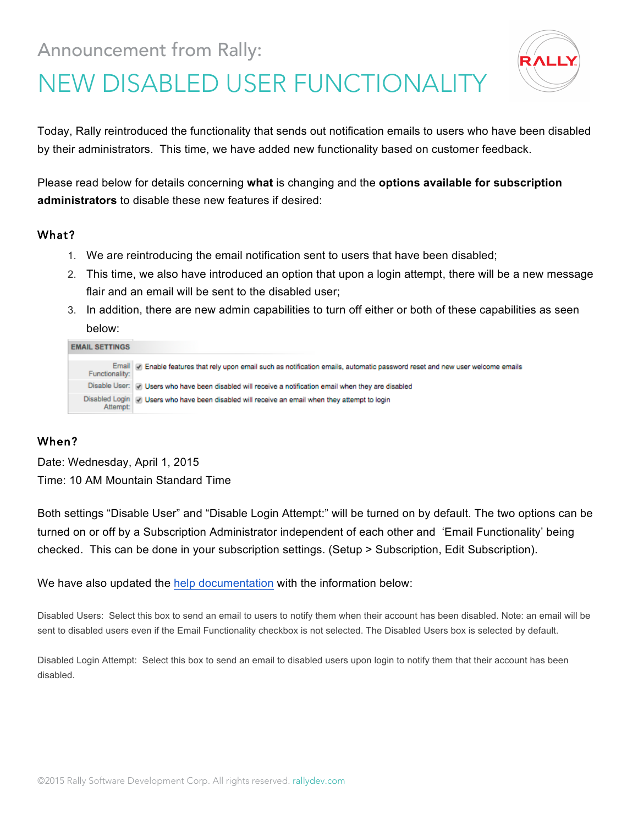# Announcement from Rally:



# NEW DISABLED USER FUNCTIONALITY

Today, Rally reintroduced the functionality that sends out notification emails to users who have been disabled by their administrators. This time, we have added new functionality based on customer feedback.

Please read below for details concerning **what** is changing and the **options available for subscription administrators** to disable these new features if desired:

#### What?

- 1. We are reintroducing the email notification sent to users that have been disabled;
- 2. This time, we also have introduced an option that upon a login attempt, there will be a new message flair and an email will be sent to the disabled user;
- 3. In addition, there are new admin capabilities to turn off either or both of these capabilities as seen below:

| <b>EMAIL SETTINGS</b> |                                                                                                                                  |
|-----------------------|----------------------------------------------------------------------------------------------------------------------------------|
| Functionality:        | Email   @ Enable features that rely upon email such as notification emails, automatic password reset and new user welcome emails |
|                       | Disable User: of Users who have been disabled will receive a notification email when they are disabled                           |
|                       | Disabled Login   [7] Users who have been disabled will receive an email when they attempt to login                               |

#### When?

Date: Wednesday, April 1, 2015 Time: 10 AM Mountain Standard Time

Both settings "Disable User" and "Disable Login Attempt:" will be turned on by default. The two options can be turned on or off by a Subscription Administrator independent of each other and 'Email Functionality' being checked. This can be done in your subscription settings. (Setup > Subscription, Edit Subscription).

We have also updated the help documentation with the information below:

Disabled Users: Select this box to send an email to users to notify them when their account has been disabled. Note: an email will be sent to disabled users even if the Email Functionality checkbox is not selected. The Disabled Users box is selected by default.

Disabled Login Attempt: Select this box to send an email to disabled users upon login to notify them that their account has been disabled.